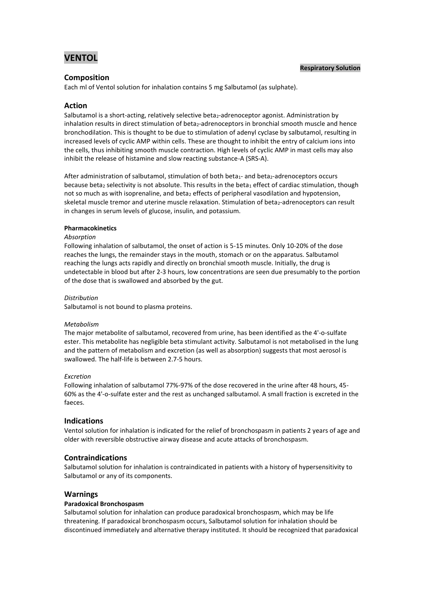# **VENTOL**

## **Respiratory Solution**

# **Composition**

Each ml of Ventol solution for inhalation contains 5 mg Salbutamol (as sulphate).

# **Action**

Salbutamol is a short-acting, relatively selective beta<sub>2</sub>-adrenoceptor agonist. Administration by inhalation results in direct stimulation of beta<sub>2</sub>-adrenoceptors in bronchial smooth muscle and hence bronchodilation. This is thought to be due to stimulation of adenyl cyclase by salbutamol, resulting in increased levels of cyclic AMP within cells. These are thought to inhibit the entry of calcium ions into the cells, thus inhibiting smooth muscle contraction. High levels of cyclic AMP in mast cells may also inhibit the release of histamine and slow reacting substance-A (SRS-A).

After administration of salbutamol, stimulation of both beta<sub>1</sub>- and beta<sub>2</sub>-adrenoceptors occurs because beta<sub>2</sub> selectivity is not absolute. This results in the beta<sub>1</sub> effect of cardiac stimulation, though not so much as with isoprenaline, and beta<sub>2</sub> effects of peripheral vasodilation and hypotension, skeletal muscle tremor and uterine muscle relaxation. Stimulation of beta<sub>2</sub>-adrenoceptors can result in changes in serum levels of glucose, insulin, and potassium.

## **Pharmacokinetics**

## *Absorption*

Following inhalation of salbutamol, the onset of action is 5-15 minutes. Only 10-20% of the dose reaches the lungs, the remainder stays in the mouth, stomach or on the apparatus. Salbutamol reaching the lungs acts rapidly and directly on bronchial smooth muscle. Initially, the drug is undetectable in blood but after 2-3 hours, low concentrations are seen due presumably to the portion of the dose that is swallowed and absorbed by the gut.

#### *Distribution*

Salbutamol is not bound to plasma proteins.

#### *Metabolism*

The major metabolite of salbutamol, recovered from urine, has been identified as the 4'-o-sulfate ester. This metabolite has negligible beta stimulant activity. Salbutamol is not metabolised in the lung and the pattern of metabolism and excretion (as well as absorption) suggests that most aerosol is swallowed. The half-life is between 2.7-5 hours.

## *Excretion*

Following inhalation of salbutamol 77%-97% of the dose recovered in the urine after 48 hours, 45- 60% as the 4'-o-sulfate ester and the rest as unchanged salbutamol. A small fraction is excreted in the faeces.

# **Indications**

Ventol solution for inhalation is indicated for the relief of bronchospasm in patients 2 years of age and older with reversible obstructive airway disease and acute attacks of bronchospasm.

# **Contraindications**

Salbutamol solution for inhalation is contraindicated in patients with a history of hypersensitivity to Salbutamol or any of its components.

### **Warnings**

#### **Paradoxical Bronchospasm**

Salbutamol solution for inhalation can produce paradoxical bronchospasm, which may be life threatening. If paradoxical bronchospasm occurs, Salbutamol solution for inhalation should be discontinued immediately and alternative therapy instituted. It should be recognized that paradoxical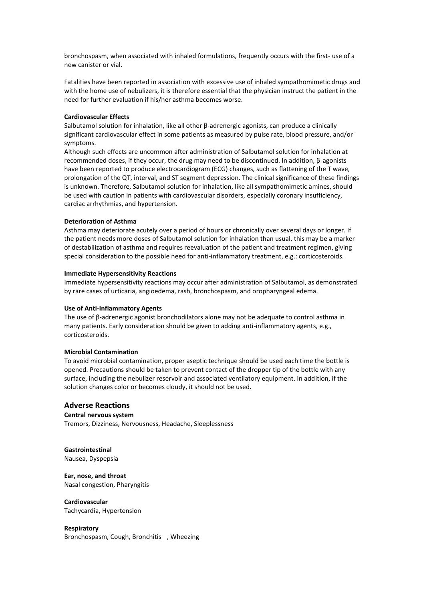bronchospasm, when associated with inhaled formulations, frequently occurs with the first- use of a new canister or vial.

Fatalities have been reported in association with excessive use of inhaled sympathomimetic drugs and with the home use of nebulizers, it is therefore essential that the physician instruct the patient in the need for further evaluation if his/her asthma becomes worse.

#### **Cardiovascular Effects**

Salbutamol solution for inhalation, like all other β-adrenergic agonists, can produce a clinically significant cardiovascular effect in some patients as measured by pulse rate, blood pressure, and/or symptoms.

Although such effects are uncommon after administration of Salbutamol solution for inhalation at recommended doses, if they occur, the drug may need to be discontinued. In addition, β-agonists have been reported to produce electrocardiogram (ECG) changes, such as flattening of the T wave, prolongation of the QT, interval, and ST segment depression. The clinical significance of these findings is unknown. Therefore, Salbutamol solution for inhalation, like all sympathomimetic amines, should be used with caution in patients with cardiovascular disorders, especially coronary insufficiency, cardiac arrhythmias, and hypertension.

#### **Deterioration of Asthma**

Asthma may deteriorate acutely over a period of hours or chronically over several days or longer. If the patient needs more doses of Salbutamol solution for inhalation than usual, this may be a marker of destabilization of asthma and requires reevaluation of the patient and treatment regimen, giving special consideration to the possible need for anti-inflammatory treatment, e.g.: corticosteroids.

#### **Immediate Hypersensitivity Reactions**

Immediate hypersensitivity reactions may occur after administration of Salbutamol, as demonstrated by rare cases of urticaria, angioedema, rash, bronchospasm, and oropharyngeal edema.

#### **Use of Anti-Inflammatory Agents**

The use of β-adrenergic agonist bronchodilators alone may not be adequate to control asthma in many patients. Early consideration should be given to adding anti-inflammatory agents, e.g., corticosteroids.

## **Microbial Contamination**

To avoid microbial contamination, proper aseptic technique should be used each time the bottle is opened. Precautions should be taken to prevent contact of the dropper tip of the bottle with any surface, including the nebulizer reservoir and associated ventilatory equipment. In addition, if the solution changes color or becomes cloudy, it should not be used.

# **Adverse Reactions**

**Central nervous system** Tremors, Dizziness, Nervousness, Headache, Sleeplessness

**Gastrointestinal** Nausea, Dyspepsia

**Ear, nose, and throat** Nasal congestion, Pharyngitis

**Cardiovascular** Tachycardia, Hypertension

**Respiratory** Bronchospasm, Cough, Bronchitis , Wheezing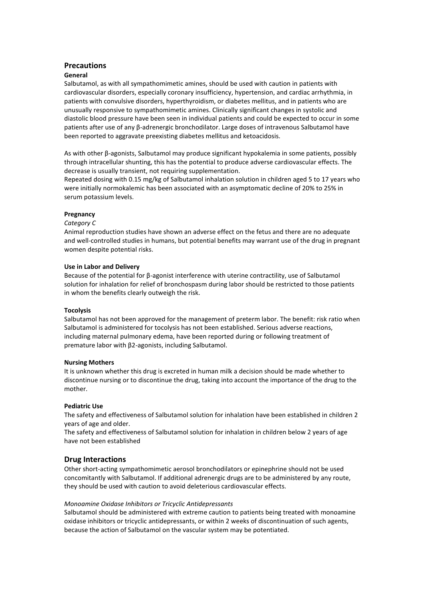# **Precautions**

## **General**

Salbutamol, as with all sympathomimetic amines, should be used with caution in patients with cardiovascular disorders, especially coronary insufficiency, hypertension, and cardiac arrhythmia, in patients with convulsive disorders, hyperthyroidism, or diabetes mellitus, and in patients who are unusually responsive to sympathomimetic amines. Clinically significant changes in systolic and diastolic blood pressure have been seen in individual patients and could be expected to occur in some patients after use of any β-adrenergic bronchodilator. Large doses of intravenous Salbutamol have been reported to aggravate preexisting diabetes mellitus and ketoacidosis.

As with other β-agonists, Salbutamol may produce significant hypokalemia in some patients, possibly through intracellular shunting, this has the potential to produce adverse cardiovascular effects. The decrease is usually transient, not requiring supplementation.

Repeated dosing with 0.15 mg/kg of Salbutamol inhalation solution in children aged 5 to 17 years who were initially normokalemic has been associated with an asymptomatic decline of 20% to 25% in serum potassium levels.

## **Pregnancy**

## *Category C*

Animal reproduction studies have shown an adverse effect on the fetus and there are no adequate and well-controlled studies in humans, but potential benefits may warrant use of the drug in pregnant women despite potential risks.

## **Use in Labor and Delivery**

Because of the potential for β-agonist interference with uterine contractility, use of Salbutamol solution for inhalation for relief of bronchospasm during labor should be restricted to those patients in whom the benefits clearly outweigh the risk.

#### **Tocolysis**

Salbutamol has not been approved for the management of preterm labor. The benefit: risk ratio when Salbutamol is administered for tocolysis has not been established. Serious adverse reactions, including maternal pulmonary edema, have been reported during or following treatment of premature labor with β2-agonists, including Salbutamol.

#### **Nursing Mothers**

It is unknown whether this drug is excreted in human milk a decision should be made whether to discontinue nursing or to discontinue the drug, taking into account the importance of the drug to the mother.

## **Pediatric Use**

The safety and effectiveness of Salbutamol solution for inhalation have been established in children 2 years of age and older.

The safety and effectiveness of Salbutamol solution for inhalation in children below 2 years of age have not been established

## **Drug Interactions**

Other short-acting sympathomimetic aerosol bronchodilators or epinephrine should not be used concomitantly with Salbutamol. If additional adrenergic drugs are to be administered by any route, they should be used with caution to avoid deleterious cardiovascular effects.

## *Monoamine Oxidase Inhibitors or Tricyclic Antidepressants*

Salbutamol should be administered with extreme caution to patients being treated with monoamine oxidase inhibitors or tricyclic antidepressants, or within 2 weeks of discontinuation of such agents, because the action of Salbutamol on the vascular system may be potentiated.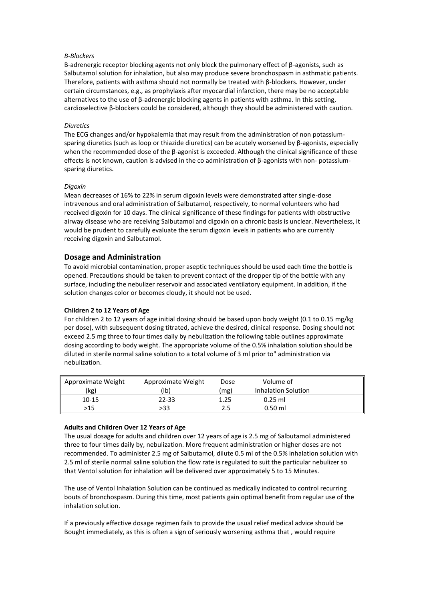## *Β-Blockers*

Β-adrenergic receptor blocking agents not only block the pulmonary effect of β-agonists, such as Salbutamol solution for inhalation, but also may produce severe bronchospasm in asthmatic patients. Therefore, patients with asthma should not normally be treated with β-blockers. However, under certain circumstances, e.g., as prophylaxis after myocardial infarction, there may be no acceptable alternatives to the use of β-adrenergic blocking agents in patients with asthma. In this setting, cardioselective β-blockers could be considered, although they should be administered with caution.

#### *Diuretics*

The ECG changes and/or hypokalemia that may result from the administration of non potassiumsparing diuretics (such as loop or thiazide diuretics) can be acutely worsened by β-agonists, especially when the recommended dose of the β-agonist is exceeded. Although the clinical significance of these effects is not known, caution is advised in the co administration of β-agonists with non- potassiumsparing diuretics.

## *Digoxin*

Mean decreases of 16% to 22% in serum digoxin levels were demonstrated after single-dose intravenous and oral administration of Salbutamol, respectively, to normal volunteers who had received digoxin for 10 days. The clinical significance of these findings for patients with obstructive airway disease who are receiving Salbutamol and digoxin on a chronic basis is unclear. Nevertheless, it would be prudent to carefully evaluate the serum digoxin levels in patients who are currently receiving digoxin and Salbutamol.

# **Dosage and Administration**

To avoid microbial contamination, proper aseptic techniques should be used each time the bottle is opened. Precautions should be taken to prevent contact of the dropper tip of the bottle with any surface, including the nebulizer reservoir and associated ventilatory equipment. In addition, if the solution changes color or becomes cloudy, it should not be used.

## **Children 2 to 12 Years of Age**

For children 2 to 12 years of age initial dosing should be based upon body weight (0.1 to 0.15 mg/kg per dose), with subsequent dosing titrated, achieve the desired, clinical response. Dosing should not exceed 2.5 mg three to four times daily by nebulization the following table outlines approximate dosing according to body weight. The appropriate volume of the 0.5% inhalation solution should be diluted in sterile normal saline solution to a total volume of 3 ml prior to" administration via nebulization.

| Approximate Weight | Approximate Weight | Dose | Volume of           |  |
|--------------------|--------------------|------|---------------------|--|
| (kg)               | (Ib)               | (mg) | Inhalation Solution |  |
| $10 - 15$          | $22 - 33$          | 1.25 | $0.25$ ml           |  |
| >15                | >33                | 2.5  | $0.50$ ml           |  |

## **Adults and Children Over 12 Years of Age**

The usual dosage for adults and children over 12 years of age is 2.5 mg of Salbutamol administered three to four times daily by, nebulization. More frequent administration or higher doses are not recommended. To administer 2.5 mg of Salbutamol, dilute 0.5 ml of the 0.5% inhalation solution with 2.5 ml of sterile normal saline solution the flow rate is regulated to suit the particular nebulizer so that Ventol solution for inhalation will be delivered over approximately 5 to 15 Minutes.

The use of Ventol Inhalation Solution can be continued as medically indicated to control recurring bouts of bronchospasm. During this time, most patients gain optimal benefit from regular use of the inhalation solution.

If a previously effective dosage regimen fails to provide the usual relief medical advice should be Bought immediately, as this is often a sign of seriously worsening asthma that , would require